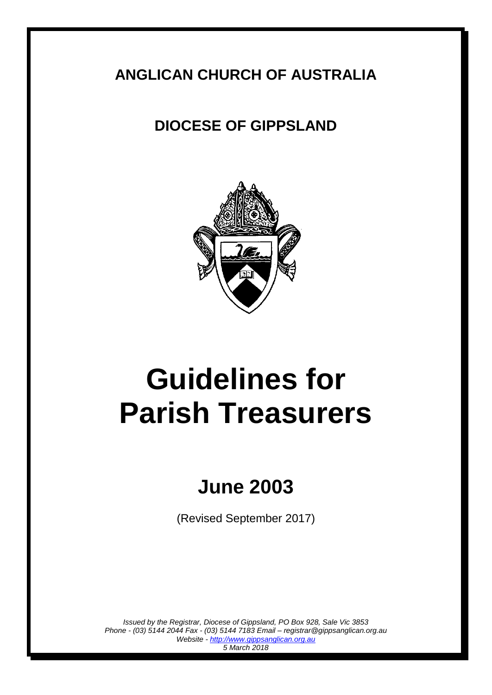### **ANGLICAN CHURCH OF AUSTRALIA**

## **DIOCESE OF GIPPSLAND**



# **Guidelines for Parish Treasurers**

## **June 2003**

(Revised September 2017)

*Issued by the Registrar, Diocese of Gippsland, PO Box 928, Sale Vic 3853 Phone - (03) 5144 2044 Fax - (03) 5144 7183 Email – registrar@gippsanglican.org.au Website - http://www.gippsanglican.org.au 5 March 2018*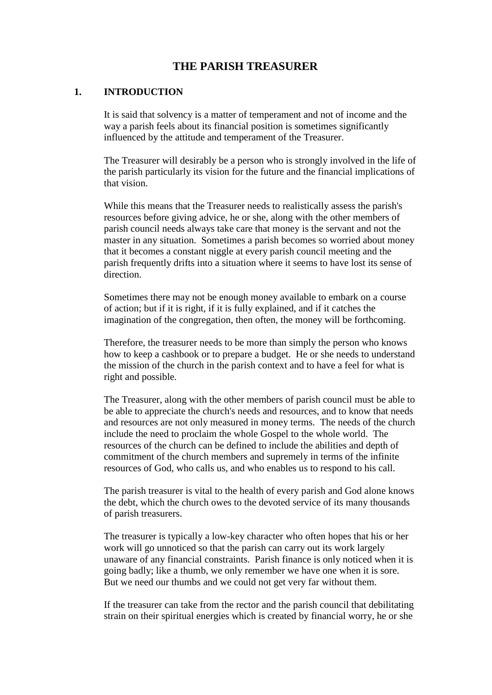#### **THE PARISH TREASURER**

#### **1. INTRODUCTION**

It is said that solvency is a matter of temperament and not of income and the way a parish feels about its financial position is sometimes significantly influenced by the attitude and temperament of the Treasurer.

The Treasurer will desirably be a person who is strongly involved in the life of the parish particularly its vision for the future and the financial implications of that vision.

While this means that the Treasurer needs to realistically assess the parish's resources before giving advice, he or she, along with the other members of parish council needs always take care that money is the servant and not the master in any situation. Sometimes a parish becomes so worried about money that it becomes a constant niggle at every parish council meeting and the parish frequently drifts into a situation where it seems to have lost its sense of direction.

Sometimes there may not be enough money available to embark on a course of action; but if it is right, if it is fully explained, and if it catches the imagination of the congregation, then often, the money will be forthcoming.

Therefore, the treasurer needs to be more than simply the person who knows how to keep a cashbook or to prepare a budget. He or she needs to understand the mission of the church in the parish context and to have a feel for what is right and possible.

The Treasurer, along with the other members of parish council must be able to be able to appreciate the church's needs and resources, and to know that needs and resources are not only measured in money terms. The needs of the church include the need to proclaim the whole Gospel to the whole world. The resources of the church can be defined to include the abilities and depth of commitment of the church members and supremely in terms of the infinite resources of God, who calls us, and who enables us to respond to his call.

The parish treasurer is vital to the health of every parish and God alone knows the debt, which the church owes to the devoted service of its many thousands of parish treasurers.

The treasurer is typically a low-key character who often hopes that his or her work will go unnoticed so that the parish can carry out its work largely unaware of any financial constraints. Parish finance is only noticed when it is going badly; like a thumb, we only remember we have one when it is sore. But we need our thumbs and we could not get very far without them.

If the treasurer can take from the rector and the parish council that debilitating strain on their spiritual energies which is created by financial worry, he or she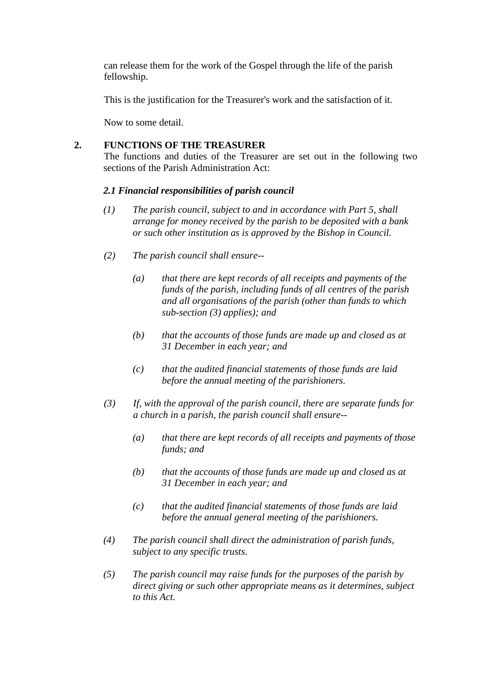can release them for the work of the Gospel through the life of the parish fellowship.

This is the justification for the Treasurer's work and the satisfaction of it.

Now to some detail.

#### **2. FUNCTIONS OF THE TREASURER**

The functions and duties of the Treasurer are set out in the following two sections of the Parish Administration Act:

#### *2.1 Financial responsibilities of parish council*

- *(1) The parish council, subject to and in accordance with Part 5, shall arrange for money received by the parish to be deposited with a bank or such other institution as is approved by the Bishop in Council.*
- *(2) The parish council shall ensure--*
	- *(a) that there are kept records of all receipts and payments of the funds of the parish, including funds of all centres of the parish and all organisations of the parish (other than funds to which sub-section (3) applies); and*
	- *(b) that the accounts of those funds are made up and closed as at 31 December in each year; and*
	- *(c) that the audited financial statements of those funds are laid before the annual meeting of the parishioners.*
- *(3) If, with the approval of the parish council, there are separate funds for a church in a parish, the parish council shall ensure--*
	- *(a) that there are kept records of all receipts and payments of those funds; and*
	- *(b) that the accounts of those funds are made up and closed as at 31 December in each year; and*
	- *(c) that the audited financial statements of those funds are laid before the annual general meeting of the parishioners.*
- *(4) The parish council shall direct the administration of parish funds, subject to any specific trusts.*
- *(5) The parish council may raise funds for the purposes of the parish by direct giving or such other appropriate means as it determines, subject to this Act.*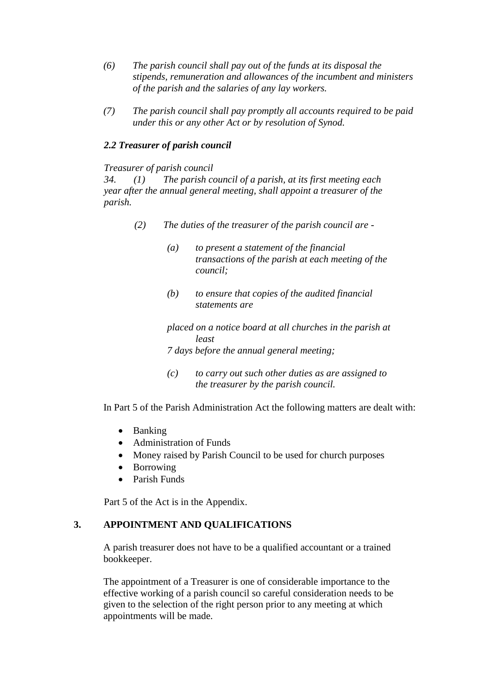- *(6) The parish council shall pay out of the funds at its disposal the stipends, remuneration and allowances of the incumbent and ministers of the parish and the salaries of any lay workers.*
- *(7) The parish council shall pay promptly all accounts required to be paid under this or any other Act or by resolution of Synod.*

#### *2.2 Treasurer of parish council*

#### *Treasurer of parish council*

*34. (1) The parish council of a parish, at its first meeting each year after the annual general meeting, shall appoint a treasurer of the parish.*

- *(2) The duties of the treasurer of the parish council are -*
	- *(a) to present a statement of the financial transactions of the parish at each meeting of the council;*
	- *(b) to ensure that copies of the audited financial statements are*

*placed on a notice board at all churches in the parish at least* 

*7 days before the annual general meeting;*

*(c) to carry out such other duties as are assigned to the treasurer by the parish council.*

In Part 5 of the Parish Administration Act the following matters are dealt with:

- Banking
- Administration of Funds
- Money raised by Parish Council to be used for church purposes
- Borrowing
- Parish Funds

Part 5 of the Act is in the Appendix.

#### **3. APPOINTMENT AND QUALIFICATIONS**

A parish treasurer does not have to be a qualified accountant or a trained bookkeeper.

The appointment of a Treasurer is one of considerable importance to the effective working of a parish council so careful consideration needs to be given to the selection of the right person prior to any meeting at which appointments will be made.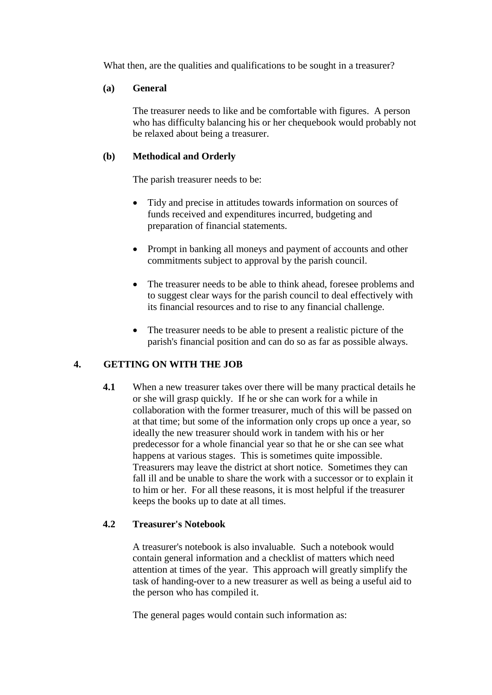What then, are the qualities and qualifications to be sought in a treasurer?

#### **(a) General**

The treasurer needs to like and be comfortable with figures. A person who has difficulty balancing his or her chequebook would probably not be relaxed about being a treasurer.

#### **(b) Methodical and Orderly**

The parish treasurer needs to be:

- Tidy and precise in attitudes towards information on sources of funds received and expenditures incurred, budgeting and preparation of financial statements.
- Prompt in banking all moneys and payment of accounts and other commitments subject to approval by the parish council.
- The treasurer needs to be able to think ahead, foresee problems and to suggest clear ways for the parish council to deal effectively with its financial resources and to rise to any financial challenge.
- The treasurer needs to be able to present a realistic picture of the parish's financial position and can do so as far as possible always.

#### **4. GETTING ON WITH THE JOB**

**4.1** When a new treasurer takes over there will be many practical details he or she will grasp quickly. If he or she can work for a while in collaboration with the former treasurer, much of this will be passed on at that time; but some of the information only crops up once a year, so ideally the new treasurer should work in tandem with his or her predecessor for a whole financial year so that he or she can see what happens at various stages. This is sometimes quite impossible. Treasurers may leave the district at short notice. Sometimes they can fall ill and be unable to share the work with a successor or to explain it to him or her. For all these reasons, it is most helpful if the treasurer keeps the books up to date at all times.

#### **4.2 Treasurer's Notebook**

A treasurer's notebook is also invaluable. Such a notebook would contain general information and a checklist of matters which need attention at times of the year. This approach will greatly simplify the task of handing-over to a new treasurer as well as being a useful aid to the person who has compiled it.

The general pages would contain such information as: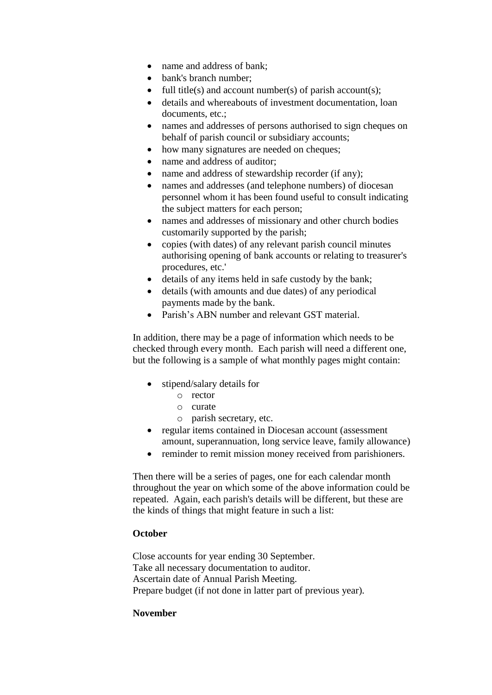- name and address of bank;
- bank's branch number:
- full title(s) and account number(s) of parish account(s);
- details and whereabouts of investment documentation, loan documents, etc.:
- names and addresses of persons authorised to sign cheques on behalf of parish council or subsidiary accounts;
- how many signatures are needed on cheques;
- name and address of auditor;
- name and address of stewardship recorder (if any);
- names and addresses (and telephone numbers) of diocesan personnel whom it has been found useful to consult indicating the subject matters for each person;
- names and addresses of missionary and other church bodies customarily supported by the parish;
- copies (with dates) of any relevant parish council minutes authorising opening of bank accounts or relating to treasurer's procedures, etc.'
- details of any items held in safe custody by the bank;
- details (with amounts and due dates) of any periodical payments made by the bank.
- Parish's ABN number and relevant GST material.

In addition, there may be a page of information which needs to be checked through every month. Each parish will need a different one, but the following is a sample of what monthly pages might contain:

- stipend/salary details for
	- o rector
	- o curate
	- o parish secretary, etc.
- regular items contained in Diocesan account (assessment) amount, superannuation, long service leave, family allowance)
- reminder to remit mission money received from parishioners.

Then there will be a series of pages, one for each calendar month throughout the year on which some of the above information could be repeated. Again, each parish's details will be different, but these are the kinds of things that might feature in such a list:

#### **October**

Close accounts for year ending 30 September. Take all necessary documentation to auditor. Ascertain date of Annual Parish Meeting. Prepare budget (if not done in latter part of previous year).

#### **November**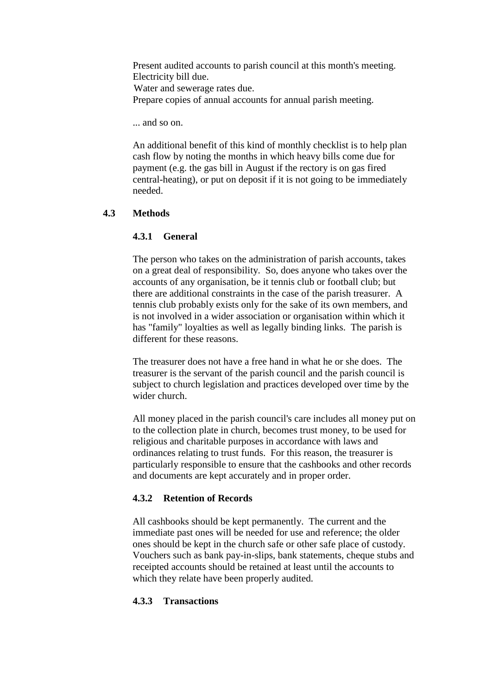Present audited accounts to parish council at this month's meeting. Electricity bill due. Water and sewerage rates due. Prepare copies of annual accounts for annual parish meeting.

... and so on.

An additional benefit of this kind of monthly checklist is to help plan cash flow by noting the months in which heavy bills come due for payment (e.g. the gas bill in August if the rectory is on gas fired central-heating), or put on deposit if it is not going to be immediately needed.

#### **4.3 Methods**

#### **4.3.1 General**

The person who takes on the administration of parish accounts, takes on a great deal of responsibility. So, does anyone who takes over the accounts of any organisation, be it tennis club or football club; but there are additional constraints in the case of the parish treasurer. A tennis club probably exists only for the sake of its own members, and is not involved in a wider association or organisation within which it has "family" loyalties as well as legally binding links. The parish is different for these reasons.

The treasurer does not have a free hand in what he or she does. The treasurer is the servant of the parish council and the parish council is subject to church legislation and practices developed over time by the wider church.

All money placed in the parish council's care includes all money put on to the collection plate in church, becomes trust money, to be used for religious and charitable purposes in accordance with laws and ordinances relating to trust funds. For this reason, the treasurer is particularly responsible to ensure that the cashbooks and other records and documents are kept accurately and in proper order.

#### **4.3.2 Retention of Records**

All cashbooks should be kept permanently. The current and the immediate past ones will be needed for use and reference; the older ones should be kept in the church safe or other safe place of custody. Vouchers such as bank pay-in-slips, bank statements, cheque stubs and receipted accounts should be retained at least until the accounts to which they relate have been properly audited.

#### **4.3.3 Transactions**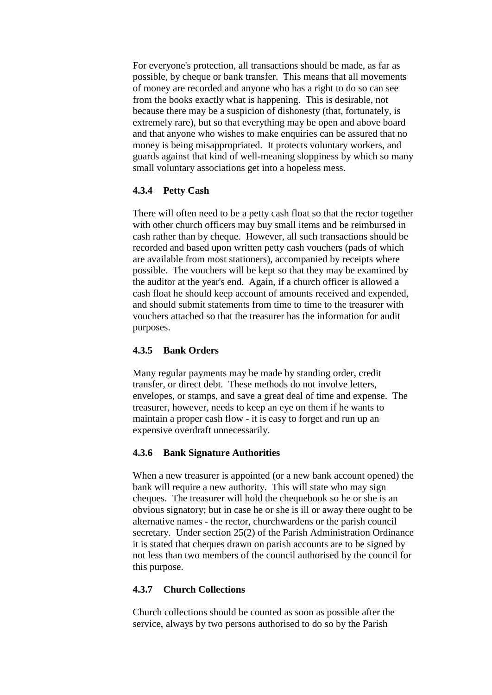For everyone's protection, all transactions should be made, as far as possible, by cheque or bank transfer. This means that all movements of money are recorded and anyone who has a right to do so can see from the books exactly what is happening. This is desirable, not because there may be a suspicion of dishonesty (that, fortunately, is extremely rare), but so that everything may be open and above board and that anyone who wishes to make enquiries can be assured that no money is being misappropriated. It protects voluntary workers, and guards against that kind of well-meaning sloppiness by which so many small voluntary associations get into a hopeless mess.

#### **4.3.4 Petty Cash**

There will often need to be a petty cash float so that the rector together with other church officers may buy small items and be reimbursed in cash rather than by cheque. However, all such transactions should be recorded and based upon written petty cash vouchers (pads of which are available from most stationers), accompanied by receipts where possible. The vouchers will be kept so that they may be examined by the auditor at the year's end. Again, if a church officer is allowed a cash float he should keep account of amounts received and expended, and should submit statements from time to time to the treasurer with vouchers attached so that the treasurer has the information for audit purposes.

#### **4.3.5 Bank Orders**

Many regular payments may be made by standing order, credit transfer, or direct debt. These methods do not involve letters, envelopes, or stamps, and save a great deal of time and expense. The treasurer, however, needs to keep an eye on them if he wants to maintain a proper cash flow - it is easy to forget and run up an expensive overdraft unnecessarily.

#### **4.3.6 Bank Signature Authorities**

When a new treasurer is appointed (or a new bank account opened) the bank will require a new authority. This will state who may sign cheques. The treasurer will hold the chequebook so he or she is an obvious signatory; but in case he or she is ill or away there ought to be alternative names - the rector, churchwardens or the parish council secretary. Under section 25(2) of the Parish Administration Ordinance it is stated that cheques drawn on parish accounts are to be signed by not less than two members of the council authorised by the council for this purpose.

#### **4.3.7 Church Collections**

Church collections should be counted as soon as possible after the service, always by two persons authorised to do so by the Parish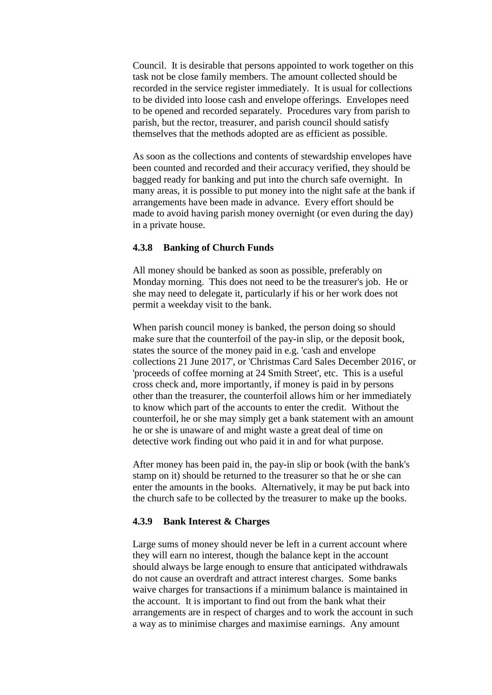Council. It is desirable that persons appointed to work together on this task not be close family members. The amount collected should be recorded in the service register immediately. It is usual for collections to be divided into loose cash and envelope offerings. Envelopes need to be opened and recorded separately. Procedures vary from parish to parish, but the rector, treasurer, and parish council should satisfy themselves that the methods adopted are as efficient as possible.

As soon as the collections and contents of stewardship envelopes have been counted and recorded and their accuracy verified, they should be bagged ready for banking and put into the church safe overnight. In many areas, it is possible to put money into the night safe at the bank if arrangements have been made in advance. Every effort should be made to avoid having parish money overnight (or even during the day) in a private house.

#### **4.3.8 Banking of Church Funds**

All money should be banked as soon as possible, preferably on Monday morning. This does not need to be the treasurer's job. He or she may need to delegate it, particularly if his or her work does not permit a weekday visit to the bank.

When parish council money is banked, the person doing so should make sure that the counterfoil of the pay-in slip, or the deposit book, states the source of the money paid in e.g. 'cash and envelope collections 21 June 2017', or 'Christmas Card Sales December 2016', or 'proceeds of coffee morning at 24 Smith Street', etc. This is a useful cross check and, more importantly, if money is paid in by persons other than the treasurer, the counterfoil allows him or her immediately to know which part of the accounts to enter the credit. Without the counterfoil, he or she may simply get a bank statement with an amount he or she is unaware of and might waste a great deal of time on detective work finding out who paid it in and for what purpose.

After money has been paid in, the pay-in slip or book (with the bank's stamp on it) should be returned to the treasurer so that he or she can enter the amounts in the books. Alternatively, it may be put back into the church safe to be collected by the treasurer to make up the books.

#### **4.3.9 Bank Interest & Charges**

Large sums of money should never be left in a current account where they will earn no interest, though the balance kept in the account should always be large enough to ensure that anticipated withdrawals do not cause an overdraft and attract interest charges. Some banks waive charges for transactions if a minimum balance is maintained in the account. It is important to find out from the bank what their arrangements are in respect of charges and to work the account in such a way as to minimise charges and maximise earnings. Any amount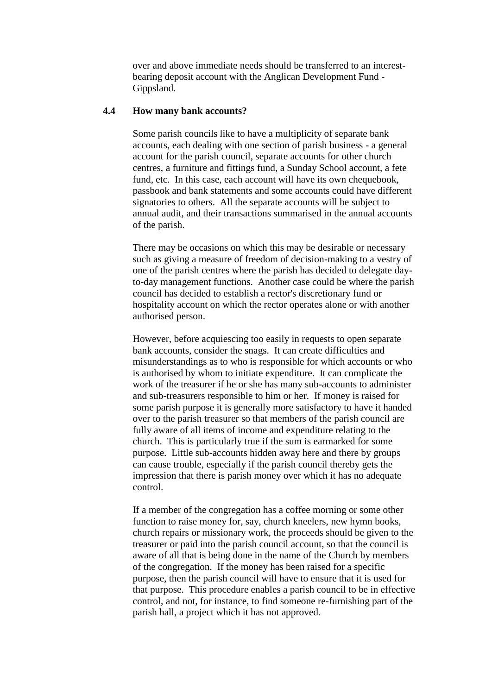over and above immediate needs should be transferred to an interestbearing deposit account with the Anglican Development Fund - Gippsland.

#### **4.4 How many bank accounts?**

Some parish councils like to have a multiplicity of separate bank accounts, each dealing with one section of parish business - a general account for the parish council, separate accounts for other church centres, a furniture and fittings fund, a Sunday School account, a fete fund, etc. In this case, each account will have its own chequebook, passbook and bank statements and some accounts could have different signatories to others. All the separate accounts will be subject to annual audit, and their transactions summarised in the annual accounts of the parish.

There may be occasions on which this may be desirable or necessary such as giving a measure of freedom of decision-making to a vestry of one of the parish centres where the parish has decided to delegate dayto-day management functions. Another case could be where the parish council has decided to establish a rector's discretionary fund or hospitality account on which the rector operates alone or with another authorised person.

However, before acquiescing too easily in requests to open separate bank accounts, consider the snags. It can create difficulties and misunderstandings as to who is responsible for which accounts or who is authorised by whom to initiate expenditure. It can complicate the work of the treasurer if he or she has many sub-accounts to administer and sub-treasurers responsible to him or her. If money is raised for some parish purpose it is generally more satisfactory to have it handed over to the parish treasurer so that members of the parish council are fully aware of all items of income and expenditure relating to the church. This is particularly true if the sum is earmarked for some purpose. Little sub-accounts hidden away here and there by groups can cause trouble, especially if the parish council thereby gets the impression that there is parish money over which it has no adequate control.

If a member of the congregation has a coffee morning or some other function to raise money for, say, church kneelers, new hymn books, church repairs or missionary work, the proceeds should be given to the treasurer or paid into the parish council account, so that the council is aware of all that is being done in the name of the Church by members of the congregation. If the money has been raised for a specific purpose, then the parish council will have to ensure that it is used for that purpose. This procedure enables a parish council to be in effective control, and not, for instance, to find someone re-furnishing part of the parish hall, a project which it has not approved.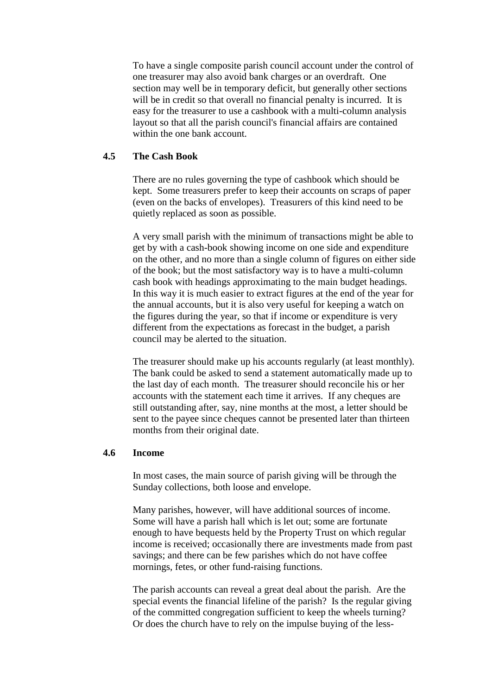To have a single composite parish council account under the control of one treasurer may also avoid bank charges or an overdraft. One section may well be in temporary deficit, but generally other sections will be in credit so that overall no financial penalty is incurred. It is easy for the treasurer to use a cashbook with a multi-column analysis layout so that all the parish council's financial affairs are contained within the one bank account.

#### **4.5 The Cash Book**

There are no rules governing the type of cashbook which should be kept. Some treasurers prefer to keep their accounts on scraps of paper (even on the backs of envelopes). Treasurers of this kind need to be quietly replaced as soon as possible.

A very small parish with the minimum of transactions might be able to get by with a cash-book showing income on one side and expenditure on the other, and no more than a single column of figures on either side of the book; but the most satisfactory way is to have a multi-column cash book with headings approximating to the main budget headings. In this way it is much easier to extract figures at the end of the year for the annual accounts, but it is also very useful for keeping a watch on the figures during the year, so that if income or expenditure is very different from the expectations as forecast in the budget, a parish council may be alerted to the situation.

The treasurer should make up his accounts regularly (at least monthly). The bank could be asked to send a statement automatically made up to the last day of each month. The treasurer should reconcile his or her accounts with the statement each time it arrives. If any cheques are still outstanding after, say, nine months at the most, a letter should be sent to the payee since cheques cannot be presented later than thirteen months from their original date.

#### **4.6 Income**

In most cases, the main source of parish giving will be through the Sunday collections, both loose and envelope.

Many parishes, however, will have additional sources of income. Some will have a parish hall which is let out; some are fortunate enough to have bequests held by the Property Trust on which regular income is received; occasionally there are investments made from past savings; and there can be few parishes which do not have coffee mornings, fetes, or other fund-raising functions.

The parish accounts can reveal a great deal about the parish. Are the special events the financial lifeline of the parish? Is the regular giving of the committed congregation sufficient to keep the wheels turning? Or does the church have to rely on the impulse buying of the less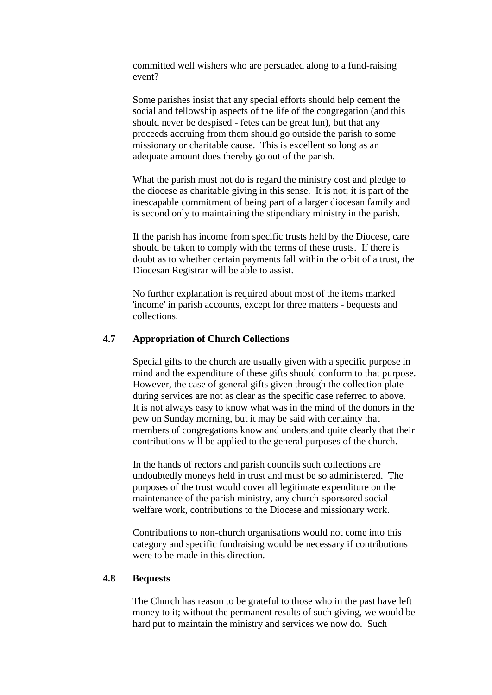committed well wishers who are persuaded along to a fund-raising event?

Some parishes insist that any special efforts should help cement the social and fellowship aspects of the life of the congregation (and this should never be despised - fetes can be great fun), but that any proceeds accruing from them should go outside the parish to some missionary or charitable cause. This is excellent so long as an adequate amount does thereby go out of the parish.

What the parish must not do is regard the ministry cost and pledge to the diocese as charitable giving in this sense. It is not; it is part of the inescapable commitment of being part of a larger diocesan family and is second only to maintaining the stipendiary ministry in the parish.

If the parish has income from specific trusts held by the Diocese, care should be taken to comply with the terms of these trusts. If there is doubt as to whether certain payments fall within the orbit of a trust, the Diocesan Registrar will be able to assist.

No further explanation is required about most of the items marked 'income' in parish accounts, except for three matters - bequests and collections.

#### **4.7 Appropriation of Church Collections**

Special gifts to the church are usually given with a specific purpose in mind and the expenditure of these gifts should conform to that purpose. However, the case of general gifts given through the collection plate during services are not as clear as the specific case referred to above. It is not always easy to know what was in the mind of the donors in the pew on Sunday morning, but it may be said with certainty that members of congregations know and understand quite clearly that their contributions will be applied to the general purposes of the church.

In the hands of rectors and parish councils such collections are undoubtedly moneys held in trust and must be so administered. The purposes of the trust would cover all legitimate expenditure on the maintenance of the parish ministry, any church-sponsored social welfare work, contributions to the Diocese and missionary work.

Contributions to non-church organisations would not come into this category and specific fundraising would be necessary if contributions were to be made in this direction.

#### **4.8 Bequests**

The Church has reason to be grateful to those who in the past have left money to it; without the permanent results of such giving, we would be hard put to maintain the ministry and services we now do. Such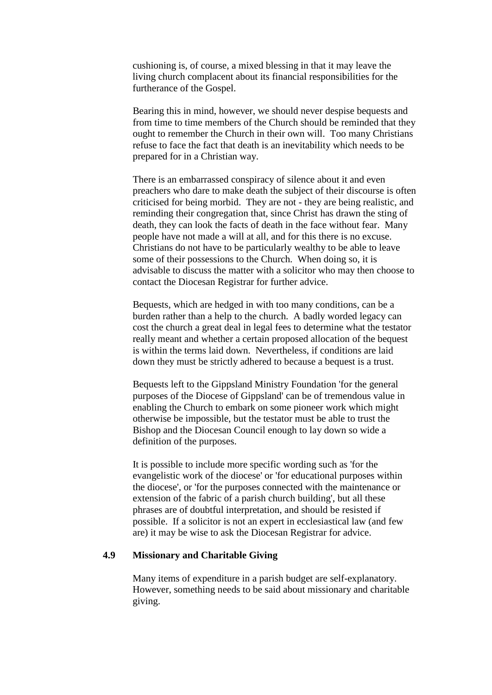cushioning is, of course, a mixed blessing in that it may leave the living church complacent about its financial responsibilities for the furtherance of the Gospel.

Bearing this in mind, however, we should never despise bequests and from time to time members of the Church should be reminded that they ought to remember the Church in their own will. Too many Christians refuse to face the fact that death is an inevitability which needs to be prepared for in a Christian way.

There is an embarrassed conspiracy of silence about it and even preachers who dare to make death the subject of their discourse is often criticised for being morbid. They are not - they are being realistic, and reminding their congregation that, since Christ has drawn the sting of death, they can look the facts of death in the face without fear. Many people have not made a will at all, and for this there is no excuse. Christians do not have to be particularly wealthy to be able to leave some of their possessions to the Church. When doing so, it is advisable to discuss the matter with a solicitor who may then choose to contact the Diocesan Registrar for further advice.

Bequests, which are hedged in with too many conditions, can be a burden rather than a help to the church. A badly worded legacy can cost the church a great deal in legal fees to determine what the testator really meant and whether a certain proposed allocation of the bequest is within the terms laid down. Nevertheless, if conditions are laid down they must be strictly adhered to because a bequest is a trust.

Bequests left to the Gippsland Ministry Foundation 'for the general purposes of the Diocese of Gippsland' can be of tremendous value in enabling the Church to embark on some pioneer work which might otherwise be impossible, but the testator must be able to trust the Bishop and the Diocesan Council enough to lay down so wide a definition of the purposes.

It is possible to include more specific wording such as 'for the evangelistic work of the diocese' or 'for educational purposes within the diocese', or 'for the purposes connected with the maintenance or extension of the fabric of a parish church building', but all these phrases are of doubtful interpretation, and should be resisted if possible. If a solicitor is not an expert in ecclesiastical law (and few are) it may be wise to ask the Diocesan Registrar for advice.

#### **4.9 Missionary and Charitable Giving**

Many items of expenditure in a parish budget are self-explanatory. However, something needs to be said about missionary and charitable giving.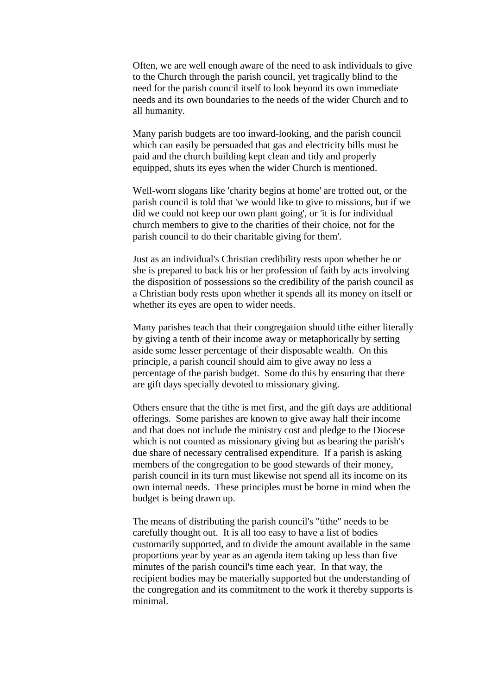Often, we are well enough aware of the need to ask individuals to give to the Church through the parish council, yet tragically blind to the need for the parish council itself to look beyond its own immediate needs and its own boundaries to the needs of the wider Church and to all humanity.

Many parish budgets are too inward-looking, and the parish council which can easily be persuaded that gas and electricity bills must be paid and the church building kept clean and tidy and properly equipped, shuts its eyes when the wider Church is mentioned.

Well-worn slogans like 'charity begins at home' are trotted out, or the parish council is told that 'we would like to give to missions, but if we did we could not keep our own plant going', or 'it is for individual church members to give to the charities of their choice, not for the parish council to do their charitable giving for them'.

Just as an individual's Christian credibility rests upon whether he or she is prepared to back his or her profession of faith by acts involving the disposition of possessions so the credibility of the parish council as a Christian body rests upon whether it spends all its money on itself or whether its eyes are open to wider needs.

Many parishes teach that their congregation should tithe either literally by giving a tenth of their income away or metaphorically by setting aside some lesser percentage of their disposable wealth. On this principle, a parish council should aim to give away no less a percentage of the parish budget. Some do this by ensuring that there are gift days specially devoted to missionary giving.

Others ensure that the tithe is met first, and the gift days are additional offerings. Some parishes are known to give away half their income and that does not include the ministry cost and pledge to the Diocese which is not counted as missionary giving but as bearing the parish's due share of necessary centralised expenditure. If a parish is asking members of the congregation to be good stewards of their money, parish council in its turn must likewise not spend all its income on its own internal needs. These principles must be borne in mind when the budget is being drawn up.

The means of distributing the parish council's "tithe" needs to be carefully thought out. It is all too easy to have a list of bodies customarily supported, and to divide the amount available in the same proportions year by year as an agenda item taking up less than five minutes of the parish council's time each year. In that way, the recipient bodies may be materially supported but the understanding of the congregation and its commitment to the work it thereby supports is minimal.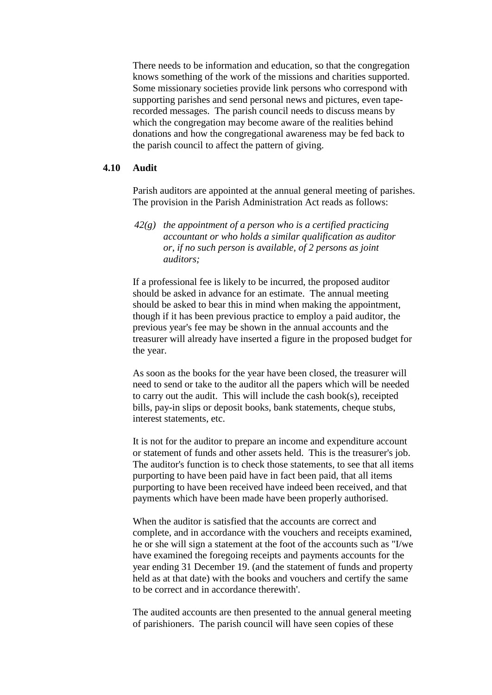There needs to be information and education, so that the congregation knows something of the work of the missions and charities supported. Some missionary societies provide link persons who correspond with supporting parishes and send personal news and pictures, even taperecorded messages. The parish council needs to discuss means by which the congregation may become aware of the realities behind donations and how the congregational awareness may be fed back to the parish council to affect the pattern of giving.

#### **4.10 Audit**

Parish auditors are appointed at the annual general meeting of parishes. The provision in the Parish Administration Act reads as follows:

*42(g) the appointment of a person who is a certified practicing accountant or who holds a similar qualification as auditor or, if no such person is available, of 2 persons as joint auditors;*

If a professional fee is likely to be incurred, the proposed auditor should be asked in advance for an estimate. The annual meeting should be asked to bear this in mind when making the appointment, though if it has been previous practice to employ a paid auditor, the previous year's fee may be shown in the annual accounts and the treasurer will already have inserted a figure in the proposed budget for the year.

As soon as the books for the year have been closed, the treasurer will need to send or take to the auditor all the papers which will be needed to carry out the audit. This will include the cash book(s), receipted bills, pay-in slips or deposit books, bank statements, cheque stubs, interest statements, etc.

It is not for the auditor to prepare an income and expenditure account or statement of funds and other assets held. This is the treasurer's job. The auditor's function is to check those statements, to see that all items purporting to have been paid have in fact been paid, that all items purporting to have been received have indeed been received, and that payments which have been made have been properly authorised.

When the auditor is satisfied that the accounts are correct and complete, and in accordance with the vouchers and receipts examined, he or she will sign a statement at the foot of the accounts such as "I/we have examined the foregoing receipts and payments accounts for the year ending 31 December 19. (and the statement of funds and property held as at that date) with the books and vouchers and certify the same to be correct and in accordance therewith'.

The audited accounts are then presented to the annual general meeting of parishioners. The parish council will have seen copies of these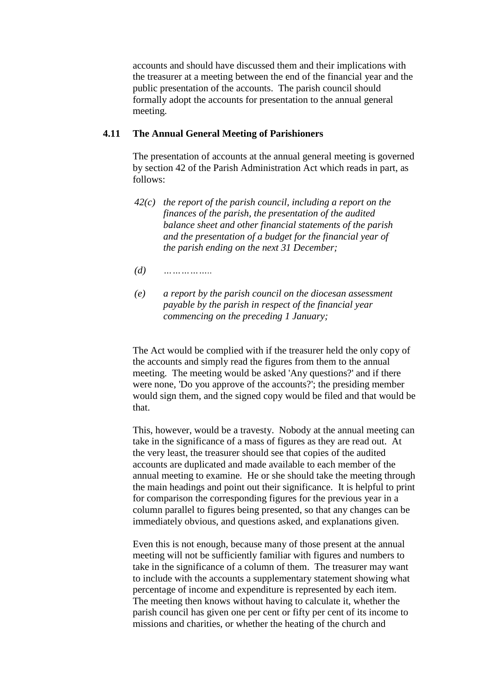accounts and should have discussed them and their implications with the treasurer at a meeting between the end of the financial year and the public presentation of the accounts. The parish council should formally adopt the accounts for presentation to the annual general meeting.

#### **4.11 The Annual General Meeting of Parishioners**

The presentation of accounts at the annual general meeting is governed by section 42 of the Parish Administration Act which reads in part, as follows:

- *42(c) the report of the parish council, including a report on the finances of the parish, the presentation of the audited balance sheet and other financial statements of the parish and the presentation of a budget for the financial year of the parish ending on the next 31 December;*
- *(d) ……………..*
- *(e) a report by the parish council on the diocesan assessment payable by the parish in respect of the financial year commencing on the preceding 1 January;*

The Act would be complied with if the treasurer held the only copy of the accounts and simply read the figures from them to the annual meeting. The meeting would be asked 'Any questions?' and if there were none, 'Do you approve of the accounts?'; the presiding member would sign them, and the signed copy would be filed and that would be that.

This, however, would be a travesty. Nobody at the annual meeting can take in the significance of a mass of figures as they are read out. At the very least, the treasurer should see that copies of the audited accounts are duplicated and made available to each member of the annual meeting to examine. He or she should take the meeting through the main headings and point out their significance. It is helpful to print for comparison the corresponding figures for the previous year in a column parallel to figures being presented, so that any changes can be immediately obvious, and questions asked, and explanations given.

Even this is not enough, because many of those present at the annual meeting will not be sufficiently familiar with figures and numbers to take in the significance of a column of them. The treasurer may want to include with the accounts a supplementary statement showing what percentage of income and expenditure is represented by each item. The meeting then knows without having to calculate it, whether the parish council has given one per cent or fifty per cent of its income to missions and charities, or whether the heating of the church and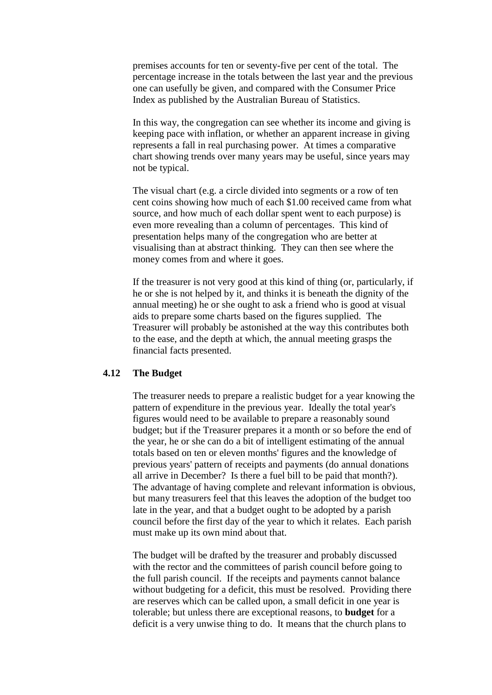premises accounts for ten or seventy-five per cent of the total. The percentage increase in the totals between the last year and the previous one can usefully be given, and compared with the Consumer Price Index as published by the Australian Bureau of Statistics.

In this way, the congregation can see whether its income and giving is keeping pace with inflation, or whether an apparent increase in giving represents a fall in real purchasing power. At times a comparative chart showing trends over many years may be useful, since years may not be typical.

The visual chart (e.g. a circle divided into segments or a row of ten cent coins showing how much of each \$1.00 received came from what source, and how much of each dollar spent went to each purpose) is even more revealing than a column of percentages. This kind of presentation helps many of the congregation who are better at visualising than at abstract thinking. They can then see where the money comes from and where it goes.

If the treasurer is not very good at this kind of thing (or, particularly, if he or she is not helped by it, and thinks it is beneath the dignity of the annual meeting) he or she ought to ask a friend who is good at visual aids to prepare some charts based on the figures supplied. The Treasurer will probably be astonished at the way this contributes both to the ease, and the depth at which, the annual meeting grasps the financial facts presented.

#### **4.12 The Budget**

The treasurer needs to prepare a realistic budget for a year knowing the pattern of expenditure in the previous year. Ideally the total year's figures would need to be available to prepare a reasonably sound budget; but if the Treasurer prepares it a month or so before the end of the year, he or she can do a bit of intelligent estimating of the annual totals based on ten or eleven months' figures and the knowledge of previous years' pattern of receipts and payments (do annual donations all arrive in December? Is there a fuel bill to be paid that month?). The advantage of having complete and relevant information is obvious, but many treasurers feel that this leaves the adoption of the budget too late in the year, and that a budget ought to be adopted by a parish council before the first day of the year to which it relates. Each parish must make up its own mind about that.

The budget will be drafted by the treasurer and probably discussed with the rector and the committees of parish council before going to the full parish council. If the receipts and payments cannot balance without budgeting for a deficit, this must be resolved. Providing there are reserves which can be called upon, a small deficit in one year is tolerable; but unless there are exceptional reasons, to **budget** for a deficit is a very unwise thing to do. It means that the church plans to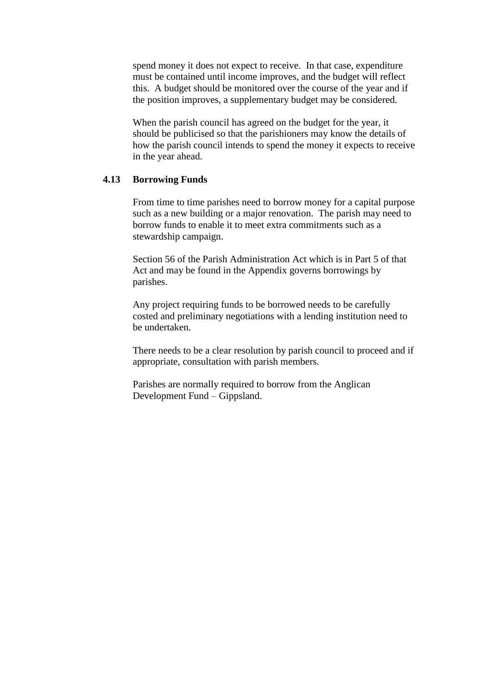spend money it does not expect to receive. In that case, expenditure must be contained until income improves, and the budget will reflect this. A budget should be monitored over the course of the year and if the position improves, a supplementary budget may be considered.

When the parish council has agreed on the budget for the year, it should be publicised so that the parishioners may know the details of how the parish council intends to spend the money it expects to receive in the year ahead.

#### **4.13 Borrowing Funds**

From time to time parishes need to borrow money for a capital purpose such as a new building or a major renovation. The parish may need to borrow funds to enable it to meet extra commitments such as a stewardship campaign.

Section 56 of the Parish Administration Act which is in Part 5 of that Act and may be found in the Appendix governs borrowings by parishes.

Any project requiring funds to be borrowed needs to be carefully costed and preliminary negotiations with a lending institution need to be undertaken.

There needs to be a clear resolution by parish council to proceed and if appropriate, consultation with parish members.

Parishes are normally required to borrow from the Anglican Development Fund – Gippsland.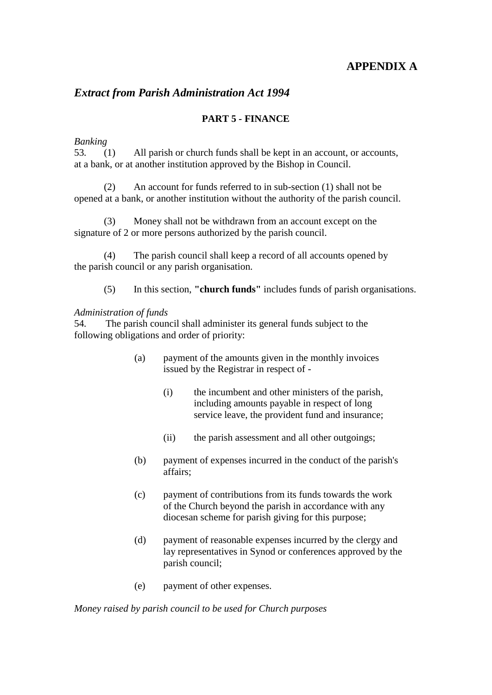#### **APPENDIX A**

#### *Extract from Parish Administration Act 1994*

#### **PART 5** *-* **FINANCE**

#### *Banking*

53*.* (1) All parish or church funds shall be kept in an account, or accounts, at a bank, or at another institution approved by the Bishop in Council.

(2) An account for funds referred to in sub-section (1) shall not be opened at a bank, or another institution without the authority of the parish council.

(3) Money shall not be withdrawn from an account except on the signature of 2 or more persons authorized by the parish council.

(4) The parish council shall keep a record of all accounts opened by the parish council or any parish organisation.

(5) In this section, **"church funds"** includes funds of parish organisations.

#### *Administration of funds*

54*.* The parish council shall administer its general funds subject to the following obligations and order of priority:

- (a) payment of the amounts given in the monthly invoices issued by the Registrar in respect of -
	- (i) the incumbent and other ministers of the parish, including amounts payable in respect of long service leave, the provident fund and insurance;
	- (ii) the parish assessment and all other outgoings;
- (b) payment of expenses incurred in the conduct of the parish's affairs;
- (c) payment of contributions from its funds towards the work of the Church beyond the parish in accordance with any diocesan scheme for parish giving for this purpose;
- (d) payment of reasonable expenses incurred by the clergy and lay representatives in Synod or conferences approved by the parish council;
- (e) payment of other expenses.

*Money raised by parish council to be used for Church purposes*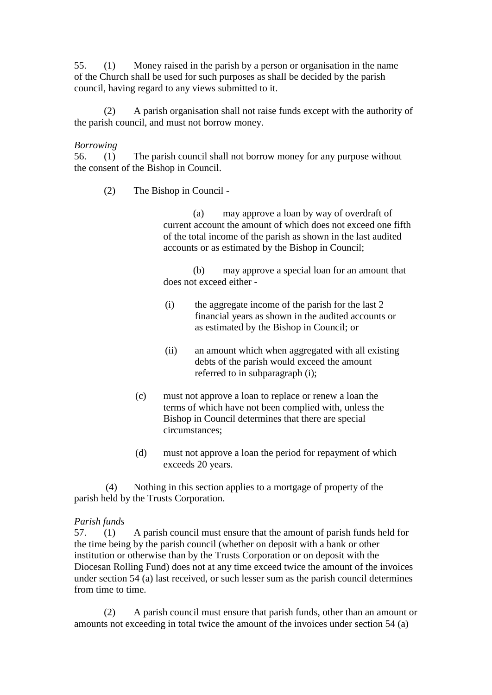55. (1) Money raised in the parish by a person or organisation in the name of the Church shall be used for such purposes as shall be decided by the parish council, having regard to any views submitted to it.

(2) A parish organisation shall not raise funds except with the authority of the parish council, and must not borrow money.

#### *Borrowing*

56. (1) The parish council shall not borrow money for any purpose without the consent of the Bishop in Council.

(2) The Bishop in Council -

(a) may approve a loan by way of overdraft of current account the amount of which does not exceed one fifth of the total income of the parish as shown in the last audited accounts or as estimated by the Bishop in Council;

(b) may approve a special loan for an amount that does not exceed either -

- (i) the aggregate income of the parish for the last 2 financial years as shown in the audited accounts or as estimated by the Bishop in Council; or
- (ii) an amount which when aggregated with all existing debts of the parish would exceed the amount referred to in subparagraph (i);
- (c) must not approve a loan to replace or renew a loan the terms of which have not been complied with, unless the Bishop in Council determines that there are special circumstances;
- (d) must not approve a loan the period for repayment of which exceeds 20 years.

(4) Nothing in this section applies to a mortgage of property of the parish held by the Trusts Corporation.

#### *Parish funds*

57. (1) A parish council must ensure that the amount of parish funds held for the time being by the parish council (whether on deposit with a bank or other institution or otherwise than by the Trusts Corporation or on deposit with the Diocesan Rolling Fund) does not at any time exceed twice the amount of the invoices under section 54 (a) last received, or such lesser sum as the parish council determines from time to time.

(2) A parish council must ensure that parish funds, other than an amount or amounts not exceeding in total twice the amount of the invoices under section 54 (a)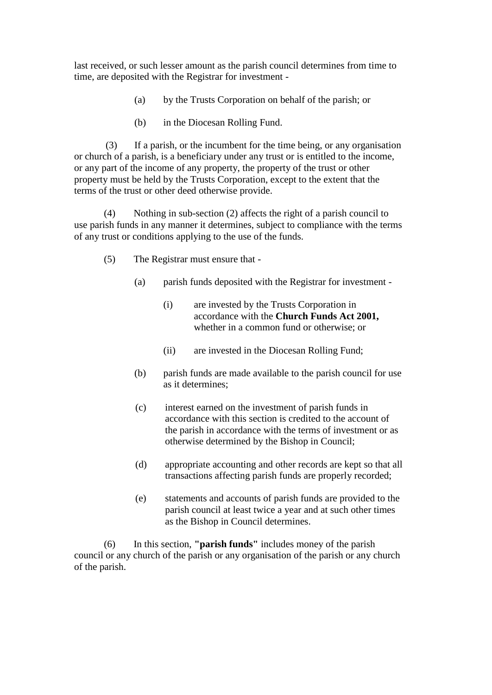last received, or such lesser amount as the parish council determines from time to time, are deposited with the Registrar for investment -

- (a) by the Trusts Corporation on behalf of the parish; or
- (b) in the Diocesan Rolling Fund.

(3) If a parish, or the incumbent for the time being, or any organisation or church of a parish, is a beneficiary under any trust or is entitled to the income, or any part of the income of any property, the property of the trust or other property must be held by the Trusts Corporation, except to the extent that the terms of the trust or other deed otherwise provide.

(4) Nothing in sub-section (2) affects the right of a parish council to use parish funds in any manner it determines, subject to compliance with the terms of any trust or conditions applying to the use of the funds.

- (5) The Registrar must ensure that
	- (a) parish funds deposited with the Registrar for investment
		- (i) are invested by the Trusts Corporation in accordance with the **Church Funds Act 2001,**  whether in a common fund or otherwise; or
		- (ii) are invested in the Diocesan Rolling Fund;
	- (b) parish funds are made available to the parish council for use as it determines;
	- (c) interest earned on the investment of parish funds in accordance with this section is credited to the account of the parish in accordance with the terms of investment or as otherwise determined by the Bishop in Council;
	- (d) appropriate accounting and other records are kept so that all transactions affecting parish funds are properly recorded;
	- (e) statements and accounts of parish funds are provided to the parish council at least twice a year and at such other times as the Bishop in Council determines.

(6) In this section, **"parish funds"** includes money of the parish council or any church of the parish or any organisation of the parish or any church of the parish.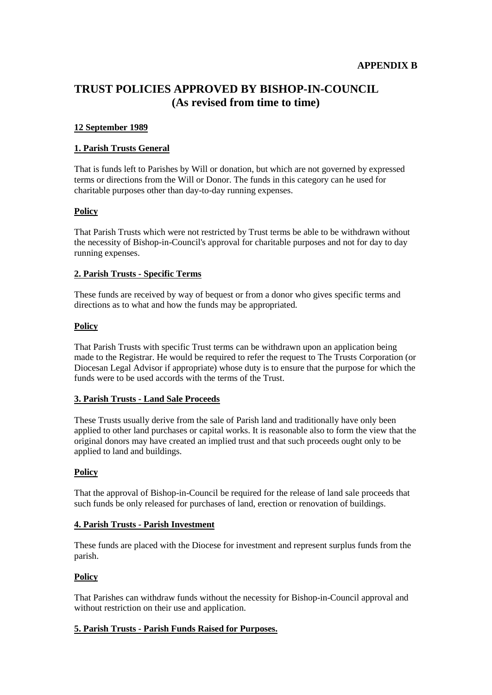#### **TRUST POLICIES APPROVED BY BISHOP-IN-COUNCIL (As revised from time to time)**

#### **12 September 1989**

#### **1. Parish Trusts General**

That is funds left to Parishes by Will or donation, but which are not governed by expressed terms or directions from the Will or Donor. The funds in this category can he used for charitable purposes other than day-to-day running expenses.

#### **Policy**

That Parish Trusts which were not restricted by Trust terms be able to be withdrawn without the necessity of Bishop-in-Council's approval for charitable purposes and not for day to day running expenses.

#### **2. Parish Trusts - Specific Terms**

These funds are received by way of bequest or from a donor who gives specific terms and directions as to what and how the funds may be appropriated.

#### **Policy**

That Parish Trusts with specific Trust terms can be withdrawn upon an application being made to the Registrar. He would be required to refer the request to The Trusts Corporation (or Diocesan Legal Advisor if appropriate) whose duty is to ensure that the purpose for which the funds were to be used accords with the terms of the Trust.

#### **3. Parish Trusts - Land Sale Proceeds**

These Trusts usually derive from the sale of Parish land and traditionally have only been applied to other land purchases or capital works. It is reasonable also to form the view that the original donors may have created an implied trust and that such proceeds ought only to be applied to land and buildings.

#### **Policy**

That the approval of Bishop-in-Council be required for the release of land sale proceeds that such funds be only released for purchases of land, erection or renovation of buildings.

#### **4. Parish Trusts - Parish Investment**

These funds are placed with the Diocese for investment and represent surplus funds from the parish.

#### **Policy**

That Parishes can withdraw funds without the necessity for Bishop-in-Council approval and without restriction on their use and application.

#### **5. Parish Trusts - Parish Funds Raised for Purposes.**